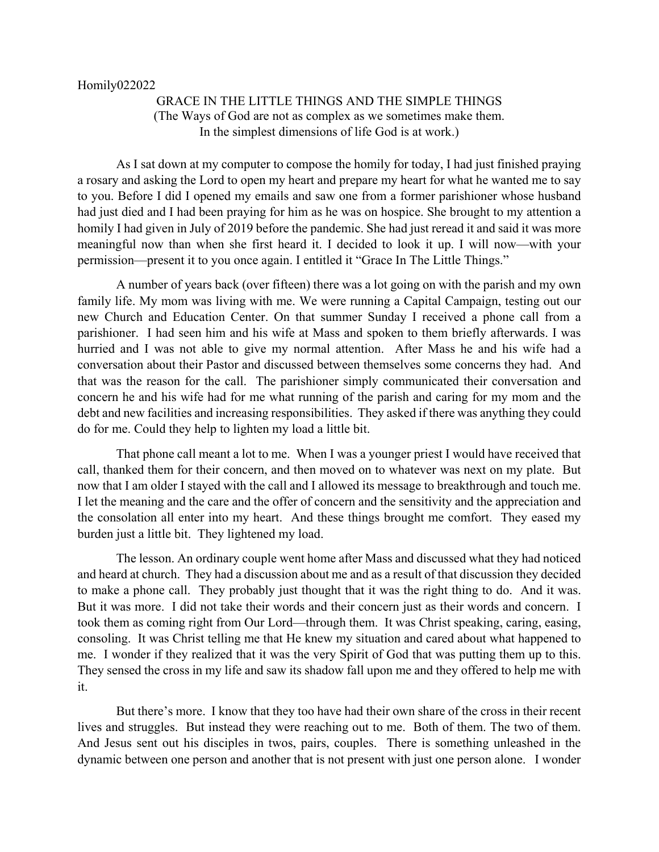## Homily022022

## GRACE IN THE LITTLE THINGS AND THE SIMPLE THINGS (The Ways of God are not as complex as we sometimes make them. In the simplest dimensions of life God is at work.)

As I sat down at my computer to compose the homily for today, I had just finished praying a rosary and asking the Lord to open my heart and prepare my heart for what he wanted me to say to you. Before I did I opened my emails and saw one from a former parishioner whose husband had just died and I had been praying for him as he was on hospice. She brought to my attention a homily I had given in July of 2019 before the pandemic. She had just reread it and said it was more meaningful now than when she first heard it. I decided to look it up. I will now—with your permission—present it to you once again. I entitled it "Grace In The Little Things."

A number of years back (over fifteen) there was a lot going on with the parish and my own family life. My mom was living with me. We were running a Capital Campaign, testing out our new Church and Education Center. On that summer Sunday I received a phone call from a parishioner. I had seen him and his wife at Mass and spoken to them briefly afterwards. I was hurried and I was not able to give my normal attention. After Mass he and his wife had a conversation about their Pastor and discussed between themselves some concerns they had. And that was the reason for the call. The parishioner simply communicated their conversation and concern he and his wife had for me what running of the parish and caring for my mom and the debt and new facilities and increasing responsibilities. They asked if there was anything they could do for me. Could they help to lighten my load a little bit.

That phone call meant a lot to me. When I was a younger priest I would have received that call, thanked them for their concern, and then moved on to whatever was next on my plate. But now that I am older I stayed with the call and I allowed its message to breakthrough and touch me. I let the meaning and the care and the offer of concern and the sensitivity and the appreciation and the consolation all enter into my heart. And these things brought me comfort. They eased my burden just a little bit. They lightened my load.

The lesson. An ordinary couple went home after Mass and discussed what they had noticed and heard at church. They had a discussion about me and as a result of that discussion they decided to make a phone call. They probably just thought that it was the right thing to do. And it was. But it was more. I did not take their words and their concern just as their words and concern. I took them as coming right from Our Lord—through them. It was Christ speaking, caring, easing, consoling. It was Christ telling me that He knew my situation and cared about what happened to me. I wonder if they realized that it was the very Spirit of God that was putting them up to this. They sensed the cross in my life and saw its shadow fall upon me and they offered to help me with it.

But there's more. I know that they too have had their own share of the cross in their recent lives and struggles. But instead they were reaching out to me. Both of them. The two of them. And Jesus sent out his disciples in twos, pairs, couples. There is something unleashed in the dynamic between one person and another that is not present with just one person alone. I wonder